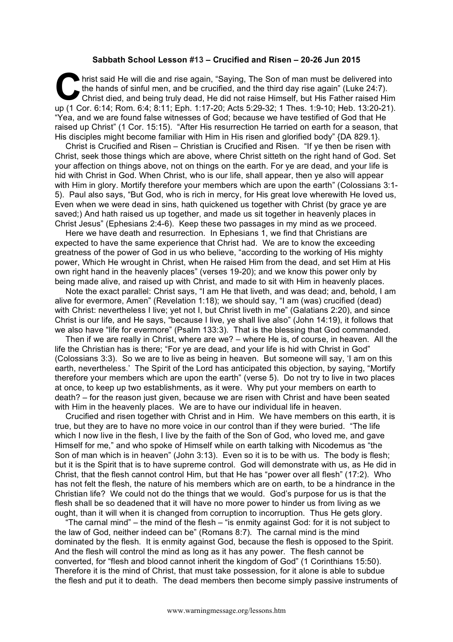## **Sabbath School Lesson #13 – Crucified and Risen – 20-26 Jun 2015**

hrist said He will die and rise again, "Saying, The Son of man must be delivered into the hands of sinful men, and be crucified, and the third day rise again" (Luke 24:7). Christ died, and being truly dead, He did not raise Himself, but His Father raised Him up (1 Cor. 6:14; Rom. 6:4; 8:11; Eph. 1:17-20; Acts 5:29-32; 1 Thes. 1:9-10; Heb. 13:20-21). "Yea, and we are found false witnesses of God; because we have testified of God that He raised up Christ" (1 Cor. 15:15). "After His resurrection He tarried on earth for a season, that His disciples might become familiar with Him in His risen and glorified body" {DA 829.1}. Christene Christene Christene Christene Christene Christene Christene Christene Christene Christene Christene Christene Christene Christene Christene Christene Christene Christene Christene Christene Christene Christene Ch

Christ is Crucified and Risen – Christian is Crucified and Risen. "If ye then be risen with Christ, seek those things which are above, where Christ sitteth on the right hand of God. Set your affection on things above, not on things on the earth. For ye are dead, and your life is hid with Christ in God. When Christ, who is our life, shall appear, then ye also will appear with Him in glory. Mortify therefore your members which are upon the earth" (Colossians 3:1- 5). Paul also says, "But God, who is rich in mercy, for His great love wherewith He loved us, Even when we were dead in sins, hath quickened us together with Christ (by grace ye are saved;) And hath raised us up together, and made us sit together in heavenly places in Christ Jesus" (Ephesians 2:4-6). Keep these two passages in my mind as we proceed.

Here we have death and resurrection. In Ephesians 1, we find that Christians are expected to have the same experience that Christ had. We are to know the exceeding greatness of the power of God in us who believe, "according to the working of His mighty power, Which He wrought in Christ, when He raised Him from the dead, and set Him at His own right hand in the heavenly places" (verses 19-20); and we know this power only by being made alive, and raised up with Christ, and made to sit with Him in heavenly places.

Note the exact parallel: Christ says, "I am He that liveth, and was dead; and, behold, I am alive for evermore, Amen" (Revelation 1:18); we should say, "I am (was) crucified (dead) with Christ: nevertheless I live; yet not I, but Christ liveth in me" (Galatians 2:20), and since Christ is our life, and He says, "because I live, ye shall live also" (John 14:19), it follows that we also have "life for evermore" (Psalm 133:3). That is the blessing that God commanded.

Then if we are really in Christ, where are we? – where He is, of course, in heaven. All the life the Christian has is there; "For ye are dead, and your life is hid with Christ in God" (Colossians 3:3). So we are to live as being in heaven. But someone will say, 'I am on this earth, nevertheless.' The Spirit of the Lord has anticipated this objection, by saying, "Mortify therefore your members which are upon the earth" (verse 5). Do not try to live in two places at once, to keep up two establishments, as it were. Why put your members on earth to death? – for the reason just given, because we are risen with Christ and have been seated with Him in the heavenly places. We are to have our individual life in heaven.

Crucified and risen together with Christ and in Him. We have members on this earth, it is true, but they are to have no more voice in our control than if they were buried. "The life which I now live in the flesh, I live by the faith of the Son of God, who loved me, and gave Himself for me," and who spoke of Himself while on earth talking with Nicodemus as "the Son of man which is in heaven" (John 3:13). Even so it is to be with us. The body is flesh; but it is the Spirit that is to have supreme control. God will demonstrate with us, as He did in Christ, that the flesh cannot control Him, but that He has "power over all flesh" (17:2). Who has not felt the flesh, the nature of his members which are on earth, to be a hindrance in the Christian life? We could not do the things that we would. God's purpose for us is that the flesh shall be so deadened that it will have no more power to hinder us from living as we ought, than it will when it is changed from corruption to incorruption. Thus He gets glory.

"The carnal mind" – the mind of the flesh – "is enmity against God: for it is not subject to the law of God, neither indeed can be" (Romans 8:7). The carnal mind is the mind dominated by the flesh. It is enmity against God, because the flesh is opposed to the Spirit. And the flesh will control the mind as long as it has any power. The flesh cannot be converted, for "flesh and blood cannot inherit the kingdom of God" (1 Corinthians 15:50). Therefore it is the mind of Christ, that must take possession, for it alone is able to subdue the flesh and put it to death. The dead members then become simply passive instruments of